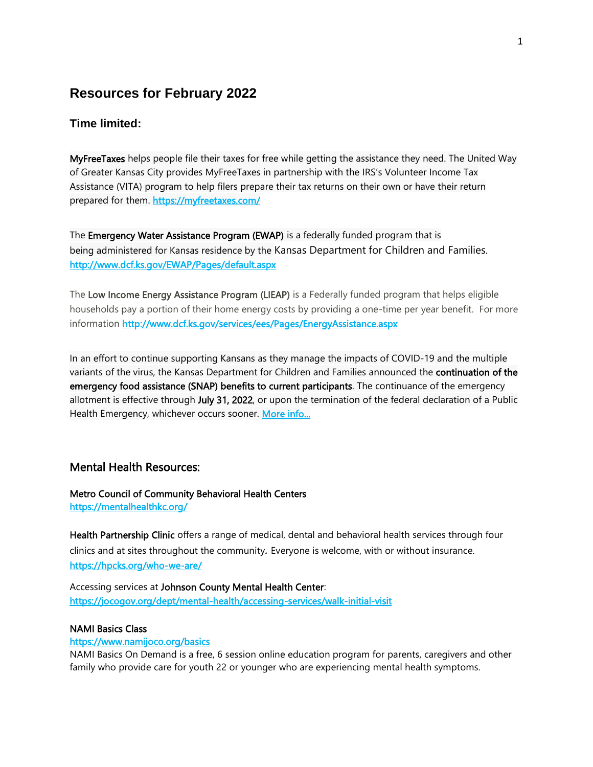# **Resources for February 2022**

# **Time limited:**

MyFreeTaxes helps people file their taxes for free while getting the assistance they need. The United Way of Greater Kansas City provides MyFreeTaxes in partnership with the IRS's Volunteer Income Tax Assistance (VITA) program to help filers prepare their tax returns on their own or have their return prepared for them. https://myfreetaxes.com/

The Emergency Water Assistance Program (EWAP) is a federally funded program that is being administered for Kansas residence by the Kansas Department for Children and Families. <http://www.dcf.ks.gov/EWAP/Pages/default.aspx>

The Low Income Energy Assistance Program (LIEAP) is a Federally funded program that helps eligible households pay a portion of their home energy costs by providing a one-time per year benefit. For more information<http://www.dcf.ks.gov/services/ees/Pages/EnergyAssistance.aspx>

In an effort to continue supporting Kansans as they manage the impacts of COVID-19 and the multiple variants of the virus, the Kansas Department for Children and Families announced the continuation of the emergency food assistance (SNAP) benefits to current participants. The continuance of the emergency allotment is effective through July 31, 2022, or upon the termination of the federal declaration of a Public Health Emergency, whichever occurs sooner. [More info...](http://www.dcf.ks.gov/Newsroom/Pages/EmergencyFoodAssistanceExtended.aspx?fbclid=IwAR288k7CGzdX3QidtBqT9H1ltTI974fZM5FQmPHx5cYALeoNwhZI9xYaCwk)

# Mental Health Resources:

Metro Council of Community Behavioral Health Centers <https://mentalhealthkc.org/>

Health Partnership Clinic offers a range of medical, dental and behavioral health services through four clinics and at sites throughout the community*.* Everyone is welcome, with or without insurance. <https://hpcks.org/who-we-are/>

Accessing services at Johnson County Mental Health Center: <https://jocogov.org/dept/mental-health/accessing-services/walk-initial-visit>

#### NAMI Basics Class

#### <https://www.namijoco.org/basics>

NAMI Basics On Demand is a free, 6 session online education program for parents, caregivers and other family who provide care for youth 22 or younger who are experiencing mental health symptoms.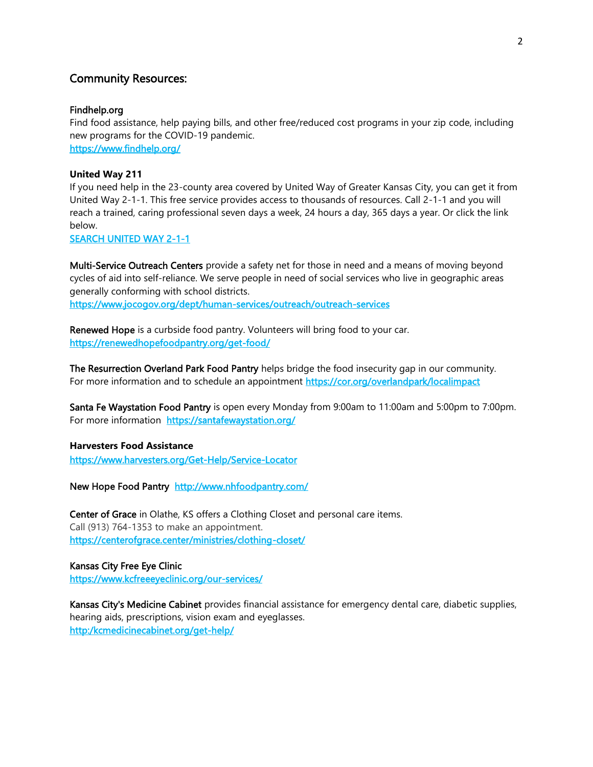# Community Resources:

#### Findhelp.org

Find food assistance, help paying bills, and other free/reduced cost programs in your zip code, including new programs for the COVID-19 pandemic. <https://www.findhelp.org/>

#### **United Way 211**

If you need help in the 23-county area covered by United Way of Greater Kansas City, you can get it from United Way 2-1-1. This free service provides access to thousands of resources. Call 2-1-1 and you will reach a trained, caring professional seven days a week, 24 hours a day, 365 days a year. Or click the link below.

#### [SEARCH UNITED WAY 2-1-1](http://uwgkc.bowmansystems.com/)

Multi-Service Outreach Centers provide a safety net for those in need and a means of moving beyond cycles of aid into self-reliance. We serve people in need of social services who live in geographic areas generally conforming with school districts.

<https://www.jocogov.org/dept/human-services/outreach/outreach-services>

Renewed Hope is a curbside food pantry. Volunteers will bring food to your car. <https://renewedhopefoodpantry.org/get-food/>

The Resurrection Overland Park Food Pantry helps bridge the food insecurity gap in our community. For more information and to schedule an appointment https://cor.org/overlandpark/localimpact

Santa Fe Waystation Food Pantry is open every Monday from 9:00am to 11:00am and 5:00pm to 7:00pm. For more information <https://santafewaystation.org/>

### **Harvesters Food Assistance**

<https://www.harvesters.org/Get-Help/Service-Locator>

New Hope Food Pantry <http://www.nhfoodpantry.com/>

Center of Grace in Olathe, KS offers a Clothing Closet and personal care items. Call (913) 764-1353 to make an appointment. <https://centerofgrace.center/ministries/clothing-closet/>

### Kansas City Free Eye Clinic

<https://www.kcfreeeyeclinic.org/our-services/>

Kansas City's Medicine Cabinet provides financial assistance for emergency dental care, diabetic supplies, hearing aids, prescriptions, vision exam and eyeglasses. [http:/kcmedicinecabinet.org/get-help/](https://l.facebook.com/l.php?u=http%3A%2F%2Fkcmedicinecabinet.org%2Fget-help%2F%3Ffbclid%3DIwAR39Ln9bYOyX8fLvO43zBrvuha6lRFBNALP23jaK4mlsPafehkDHR_kQmfM&h=AT10mRox2nKfi6QwuPT3SHGDEUA_jYVFOLCIZ-PFLvkj9VoCiPXImqfG9z-gV2TKxTqqJtyjrN3YINVSRt_T1581v1mFy_FE12hRQZcSrBdqj1nJvzMKxGCPFnKXvR7qz9yASRg&__tn__=-UK-R&c%5b0%5d=AT2MRaye55u-WrY4ufp1I6aN04t6O5JGDoBTXBaHQanuedRNEeJfeAekJwa3a-rXmtdXDnuBGG85BXNDZ6HbFtXF7L0rQE1ea4FY1pVsZ95uqmaRVme97jWZUe_B12JO2Os4kt4n7BuwYTRHOoQbckDCvbCXA40IhHOeV079nOOKMa2dtpdfLVz9bSVntOBxd73B5UeOv_kodtl3YcgQWwd9f_0IL6loKFKEyrpYnMY9EN0Uyf024J_5LR-xBZJJq6g6pwAuP_R6QK64VWpLrlPpKtx4LtHTqBObGOaawWZ1_XGKlMCHcueuVSWoFOQuDqJt_LY)